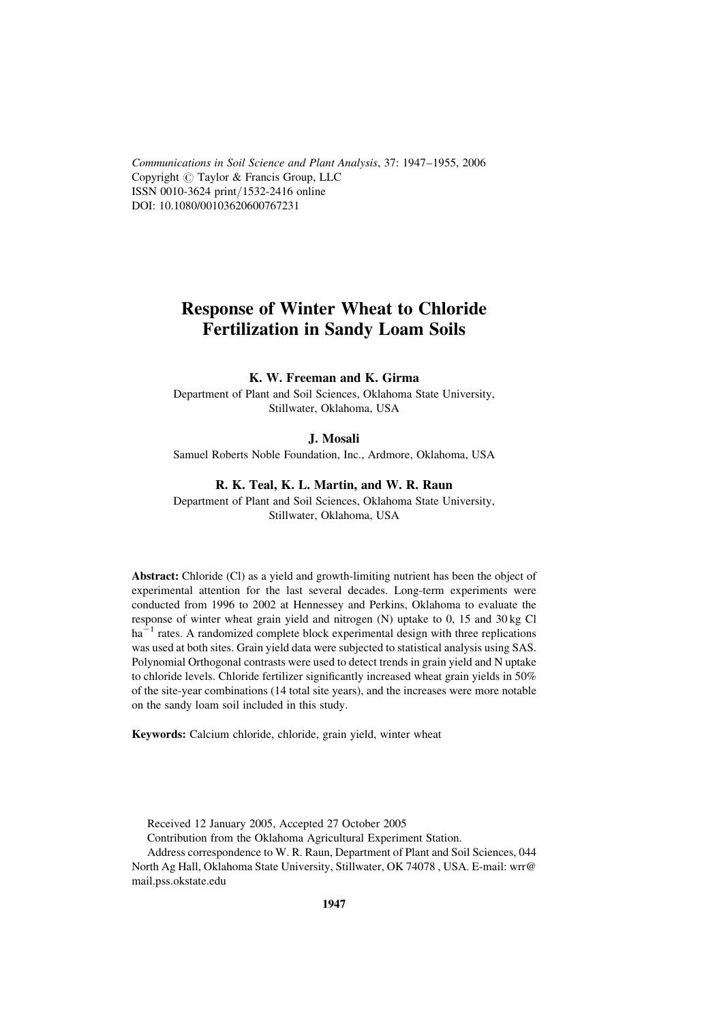Communications in Soil Science and Plant Analysis, 37: 1947–1955, 2006 Copyright  $\odot$  Taylor & Francis Group, LLC ISSN 0010-3624 print/1532-2416 online DOI: 10.1080/00103620600767231

# Response of Winter Wheat to Chloride Fertilization in Sandy Loam Soils

# K. W. Freeman and K. Girma

Department of Plant and Soil Sciences, Oklahoma State University, Stillwater, Oklahoma, USA

#### J. Mosali

Samuel Roberts Noble Foundation, Inc., Ardmore, Oklahoma, USA

#### R. K. Teal, K. L. Martin, and W. R. Raun

Department of Plant and Soil Sciences, Oklahoma State University, Stillwater, Oklahoma, USA

Abstract: Chloride (Cl) as a yield and growth-limiting nutrient has been the object of experimental attention for the last several decades. Long-term experiments were conducted from 1996 to 2002 at Hennessey and Perkins, Oklahoma to evaluate the response of winter wheat grain yield and nitrogen (N) uptake to 0, 15 and 30 kg Cl  $ha^{-1}$  rates. A randomized complete block experimental design with three replications was used at both sites. Grain yield data were subjected to statistical analysis using SAS. Polynomial Orthogonal contrasts were used to detect trends in grain yield and N uptake to chloride levels. Chloride fertilizer significantly increased wheat grain yields in 50% of the site-year combinations (14 total site years), and the increases were more notable on the sandy loam soil included in this study.

Keywords: Calcium chloride, chloride, grain yield, winter wheat

Received 12 January 2005, Accepted 27 October 2005

Contribution from the Oklahoma Agricultural Experiment Station.

Address correspondence to W. R. Raun, Department of Plant and Soil Sciences, 044 North Ag Hall, Oklahoma State University, Stillwater, OK 74078 , USA. E-mail: wrr@ mail.pss.okstate.edu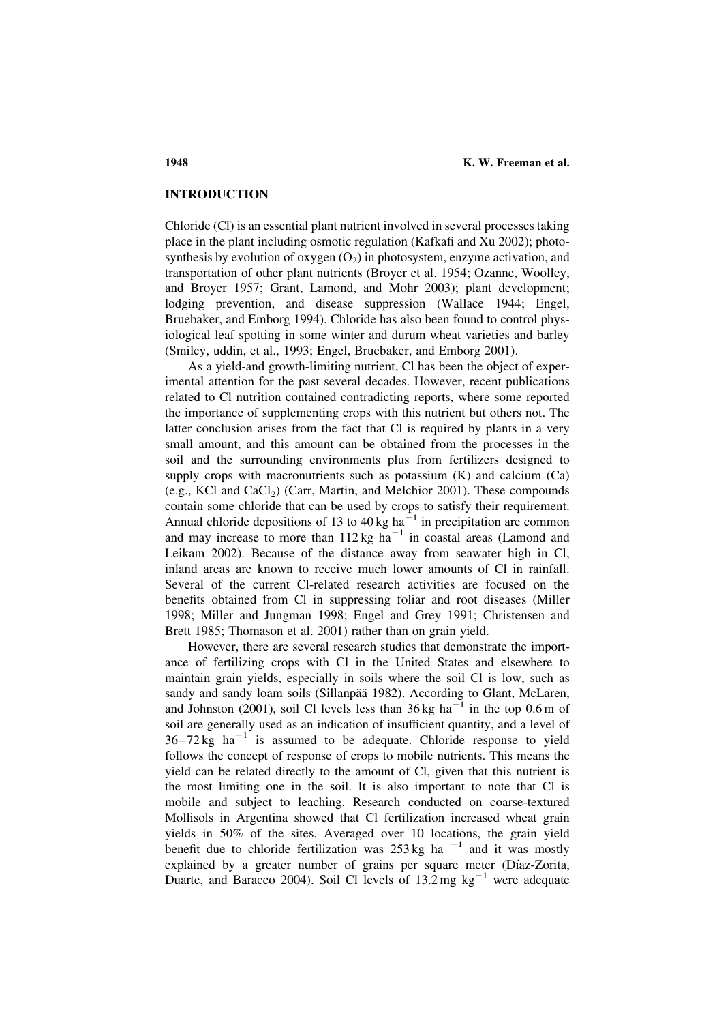# INTRODUCTION

Chloride (Cl) is an essential plant nutrient involved in several processes taking place in the plant including osmotic regulation (Kafkafi and Xu 2002); photosynthesis by evolution of oxygen  $(O_2)$  in photosystem, enzyme activation, and transportation of other plant nutrients (Broyer et al. 1954; Ozanne, Woolley, and Broyer 1957; Grant, Lamond, and Mohr 2003); plant development; lodging prevention, and disease suppression (Wallace 1944; Engel, Bruebaker, and Emborg 1994). Chloride has also been found to control physiological leaf spotting in some winter and durum wheat varieties and barley (Smiley, uddin, et al., 1993; Engel, Bruebaker, and Emborg 2001).

As a yield-and growth-limiting nutrient, Cl has been the object of experimental attention for the past several decades. However, recent publications related to Cl nutrition contained contradicting reports, where some reported the importance of supplementing crops with this nutrient but others not. The latter conclusion arises from the fact that Cl is required by plants in a very small amount, and this amount can be obtained from the processes in the soil and the surrounding environments plus from fertilizers designed to supply crops with macronutrients such as potassium  $(K)$  and calcium  $(Ca)$  $(e.g., KCl and CaCl<sub>2</sub>)$  (Carr, Martin, and Melchior 2001). These compounds contain some chloride that can be used by crops to satisfy their requirement. Annual chloride depositions of 13 to 40 kg ha<sup> $-1$ </sup> in precipitation are common and may increase to more than  $112 \text{ kg } \text{ha}^{-1}$  in coastal areas (Lamond and Leikam 2002). Because of the distance away from seawater high in Cl, inland areas are known to receive much lower amounts of Cl in rainfall. Several of the current Cl-related research activities are focused on the benefits obtained from Cl in suppressing foliar and root diseases (Miller 1998; Miller and Jungman 1998; Engel and Grey 1991; Christensen and Brett 1985; Thomason et al. 2001) rather than on grain yield.

However, there are several research studies that demonstrate the importance of fertilizing crops with Cl in the United States and elsewhere to maintain grain yields, especially in soils where the soil Cl is low, such as sandy and sandy loam soils (Sillanpää 1982). According to Glant, McLaren, and Johnston (2001), soil Cl levels less than  $36 \text{ kg ha}^{-1}$  in the top 0.6 m of soil are generally used as an indication of insufficient quantity, and a level of  $36-72 \text{ kg } \text{ha}^{-1}$  is assumed to be adequate. Chloride response to yield follows the concept of response of crops to mobile nutrients. This means the yield can be related directly to the amount of Cl, given that this nutrient is the most limiting one in the soil. It is also important to note that Cl is mobile and subject to leaching. Research conducted on coarse-textured Mollisols in Argentina showed that Cl fertilization increased wheat grain yields in 50% of the sites. Averaged over 10 locations, the grain yield benefit due to chloride fertilization was  $253 \text{ kg}$  ha<sup>-1</sup> and it was mostly explained by a greater number of grains per square meter (Díaz-Zorita, Duarte, and Baracco 2004). Soil Cl levels of  $13.2 \text{ mg kg}^{-1}$  were adequate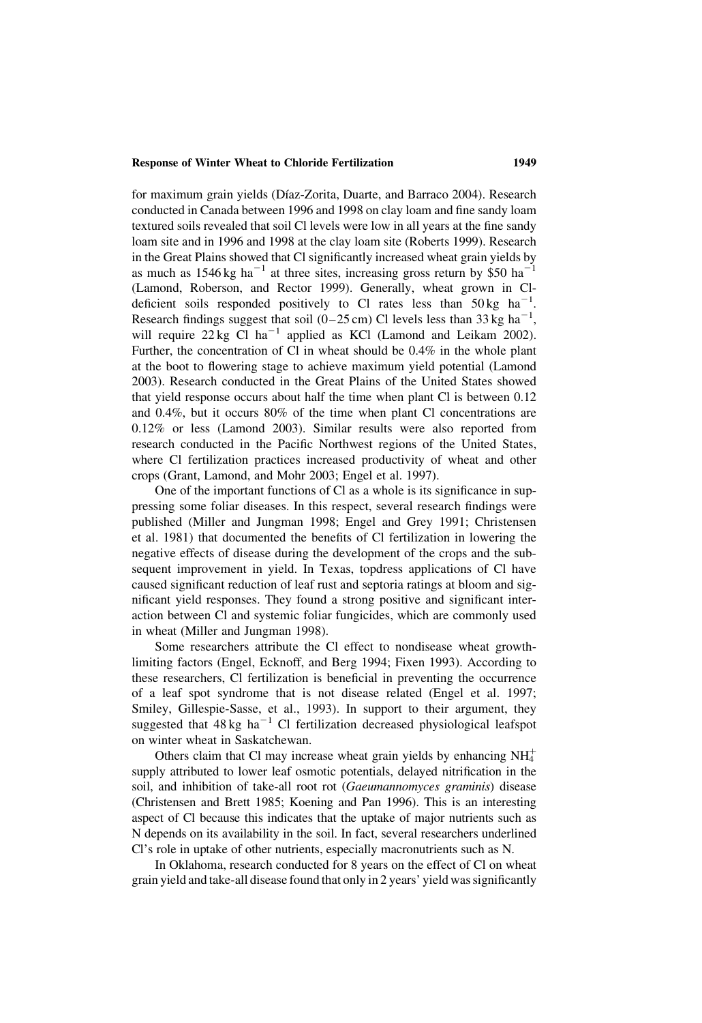#### Response of Winter Wheat to Chloride Fertilization 1949

for maximum grain yields (Díaz-Zorita, Duarte, and Barraco 2004). Research conducted in Canada between 1996 and 1998 on clay loam and fine sandy loam textured soils revealed that soil Cl levels were low in all years at the fine sandy loam site and in 1996 and 1998 at the clay loam site (Roberts 1999). Research in the Great Plains showed that Cl significantly increased wheat grain yields by as much as  $1546 \text{ kg ha}^{-1}$  at three sites, increasing gross return by \$50 ha<sup>-1</sup> (Lamond, Roberson, and Rector 1999). Generally, wheat grown in Cldeficient soils responded positively to Cl rates less than  $50 \text{ kg}$  ha<sup>-1</sup>. Research findings suggest that soil ( $0-25$  cm) Cl levels less than 33 kg ha<sup>-1</sup>, will require  $22 \text{ kg}$  Cl ha<sup>-1</sup> applied as KCl (Lamond and Leikam 2002). Further, the concentration of Cl in wheat should be 0.4% in the whole plant at the boot to flowering stage to achieve maximum yield potential (Lamond 2003). Research conducted in the Great Plains of the United States showed that yield response occurs about half the time when plant Cl is between 0.12 and 0.4%, but it occurs 80% of the time when plant Cl concentrations are 0.12% or less (Lamond 2003). Similar results were also reported from research conducted in the Pacific Northwest regions of the United States, where Cl fertilization practices increased productivity of wheat and other crops (Grant, Lamond, and Mohr 2003; Engel et al. 1997).

One of the important functions of Cl as a whole is its significance in suppressing some foliar diseases. In this respect, several research findings were published (Miller and Jungman 1998; Engel and Grey 1991; Christensen et al. 1981) that documented the benefits of Cl fertilization in lowering the negative effects of disease during the development of the crops and the subsequent improvement in yield. In Texas, topdress applications of Cl have caused significant reduction of leaf rust and septoria ratings at bloom and significant yield responses. They found a strong positive and significant interaction between Cl and systemic foliar fungicides, which are commonly used in wheat (Miller and Jungman 1998).

Some researchers attribute the Cl effect to nondisease wheat growthlimiting factors (Engel, Ecknoff, and Berg 1994; Fixen 1993). According to these researchers, Cl fertilization is beneficial in preventing the occurrence of a leaf spot syndrome that is not disease related (Engel et al. 1997; Smiley, Gillespie-Sasse, et al., 1993). In support to their argument, they suggested that  $48 \text{ kg/ha}^{-1}$  Cl fertilization decreased physiological leafspot on winter wheat in Saskatchewan.

Others claim that Cl may increase wheat grain yields by enhancing  $NH<sub>4</sub><sup>+</sup>$ supply attributed to lower leaf osmotic potentials, delayed nitrification in the soil, and inhibition of take-all root rot (Gaeumannomyces graminis) disease (Christensen and Brett 1985; Koening and Pan 1996). This is an interesting aspect of Cl because this indicates that the uptake of major nutrients such as N depends on its availability in the soil. In fact, several researchers underlined Cl's role in uptake of other nutrients, especially macronutrients such as N.

In Oklahoma, research conducted for 8 years on the effect of Cl on wheat grain yield and take-all disease found that only in 2 years' yield was significantly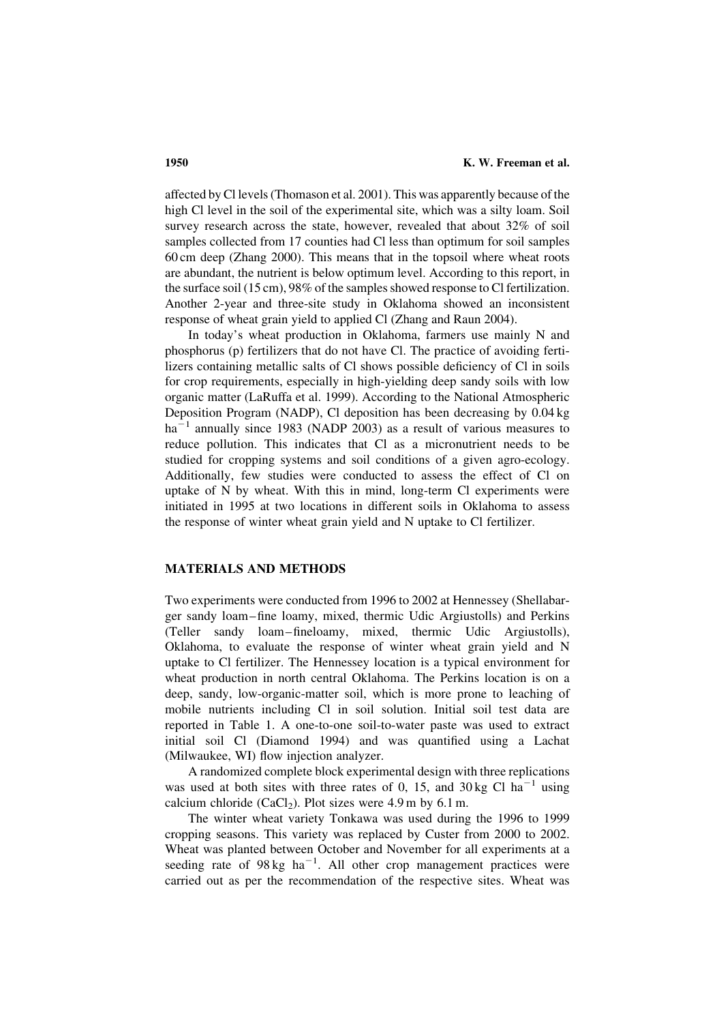affected by Cl levels (Thomason et al. 2001). This was apparently because of the high Cl level in the soil of the experimental site, which was a silty loam. Soil survey research across the state, however, revealed that about 32% of soil samples collected from 17 counties had Cl less than optimum for soil samples 60 cm deep (Zhang 2000). This means that in the topsoil where wheat roots are abundant, the nutrient is below optimum level. According to this report, in the surface soil (15 cm), 98% of the samples showed response to Cl fertilization. Another 2-year and three-site study in Oklahoma showed an inconsistent response of wheat grain yield to applied Cl (Zhang and Raun 2004).

In today's wheat production in Oklahoma, farmers use mainly N and phosphorus (p) fertilizers that do not have Cl. The practice of avoiding fertilizers containing metallic salts of Cl shows possible deficiency of Cl in soils for crop requirements, especially in high-yielding deep sandy soils with low organic matter (LaRuffa et al. 1999). According to the National Atmospheric Deposition Program (NADP), Cl deposition has been decreasing by 0.04 kg  $ha^{-1}$  annually since 1983 (NADP 2003) as a result of various measures to reduce pollution. This indicates that Cl as a micronutrient needs to be studied for cropping systems and soil conditions of a given agro-ecology. Additionally, few studies were conducted to assess the effect of Cl on uptake of N by wheat. With this in mind, long-term Cl experiments were initiated in 1995 at two locations in different soils in Oklahoma to assess the response of winter wheat grain yield and N uptake to Cl fertilizer.

### MATERIALS AND METHODS

Two experiments were conducted from 1996 to 2002 at Hennessey (Shellabarger sandy loam –fine loamy, mixed, thermic Udic Argiustolls) and Perkins (Teller sandy loam –fineloamy, mixed, thermic Udic Argiustolls), Oklahoma, to evaluate the response of winter wheat grain yield and N uptake to Cl fertilizer. The Hennessey location is a typical environment for wheat production in north central Oklahoma. The Perkins location is on a deep, sandy, low-organic-matter soil, which is more prone to leaching of mobile nutrients including Cl in soil solution. Initial soil test data are reported in Table 1. A one-to-one soil-to-water paste was used to extract initial soil Cl (Diamond 1994) and was quantified using a Lachat (Milwaukee, WI) flow injection analyzer.

A randomized complete block experimental design with three replications was used at both sites with three rates of 0, 15, and 30 kg Cl  $ha^{-1}$  using calcium chloride (CaCl<sub>2</sub>). Plot sizes were 4.9 m by 6.1 m.

The winter wheat variety Tonkawa was used during the 1996 to 1999 cropping seasons. This variety was replaced by Custer from 2000 to 2002. Wheat was planted between October and November for all experiments at a seeding rate of  $98 \text{ kg/ha}^{-1}$ . All other crop management practices were carried out as per the recommendation of the respective sites. Wheat was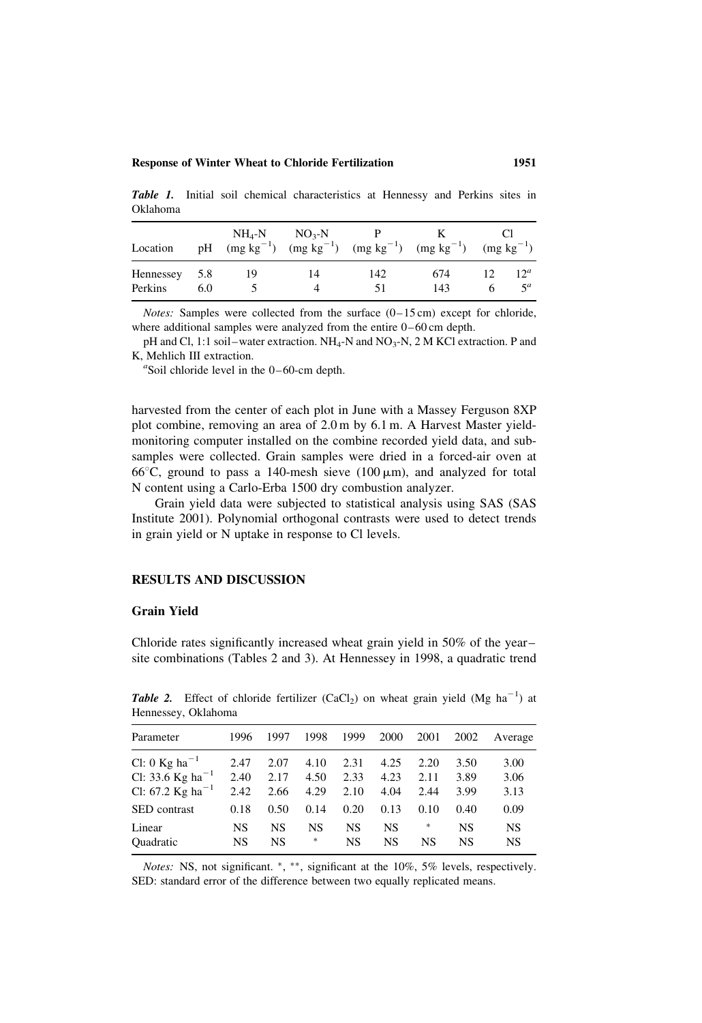#### Response of Winter Wheat to Chloride Fertilization 1951

Table 1. Initial soil chemical characteristics at Hennessy and Perkins sites in Oklahoma

| Location                 | pH  | $NH_A-N$ | $NO3-N$ |           | $(mg kg^{-1})$ $(mg kg^{-1})$ $(mg kg^{-1})$ $(mg kg^{-1})$ | $(mg kg^{-1})$ |                             |
|--------------------------|-----|----------|---------|-----------|-------------------------------------------------------------|----------------|-----------------------------|
| Hennessey 5.8<br>Perkins | 6.0 | 19       | 14<br>Δ | 142<br>51 | 674<br>143                                                  |                | 12 <sup>a</sup><br>$\leq a$ |

*Notes:* Samples were collected from the surface  $(0-15 \text{ cm})$  except for chloride, where additional samples were analyzed from the entire 0-60 cm depth.

pH and Cl, 1:1 soil–water extraction.  $NH_4$ -N and  $NO_3$ -N, 2 M KCl extraction. P and K, Mehlich III extraction.

 $\textdegree$ Soil chloride level in the 0-60-cm depth.

harvested from the center of each plot in June with a Massey Ferguson 8XP plot combine, removing an area of 2.0 m by 6.1 m. A Harvest Master yieldmonitoring computer installed on the combine recorded yield data, and subsamples were collected. Grain samples were dried in a forced-air oven at 66 $\degree$ C, ground to pass a 140-mesh sieve (100  $\mu$ m), and analyzed for total N content using a Carlo-Erba 1500 dry combustion analyzer.

Grain yield data were subjected to statistical analysis using SAS (SAS Institute 2001). Polynomial orthogonal contrasts were used to detect trends in grain yield or N uptake in response to Cl levels.

#### RESULTS AND DISCUSSION

# Grain Yield

Chloride rates significantly increased wheat grain yield in 50% of the year – site combinations (Tables 2 and 3). At Hennessey in 1998, a quadratic trend

| Parameter                    | 1996 | 1997 | 1998 | 1999      | 2000 | 2001 | 2002 | Average |  |
|------------------------------|------|------|------|-----------|------|------|------|---------|--|
| Cl: 0 Kg ha <sup>-1</sup>    | 2.47 | 2.07 | 4.10 | 2.31      | 4.25 | 2.20 | 3.50 | 3.00    |  |
| Cl: 33.6 Kg ha <sup>-1</sup> | 2.40 | 2.17 | 4.50 | 2.33      | 4.23 | 2.11 | 3.89 | 3.06    |  |
| Cl: 67.2 Kg ha <sup>-1</sup> | 2.42 | 2.66 | 4.29 | 2.10      | 4.04 | 2.44 | 3.99 | 3.13    |  |
| <b>SED</b> contrast          | 0.18 | 0.50 | 0.14 | 0.20      | 0.13 | 0.10 | 0.40 | 0.09    |  |
| Linear                       | NS   | NS   | NS   | <b>NS</b> | NS   | *    | NS   | NS      |  |
| <b>Ouadratic</b>             | NS   | NS   | *    | NS        | NS   | NS   | NS   | NS      |  |

**Table 2.** Effect of chloride fertilizer (CaCl<sub>2</sub>) on wheat grain yield (Mg ha<sup>-1</sup>) at Hennessey, Oklahoma

Notes: NS, not significant. \*, \*\*, significant at the 10%, 5% levels, respectively. SED: standard error of the difference between two equally replicated means.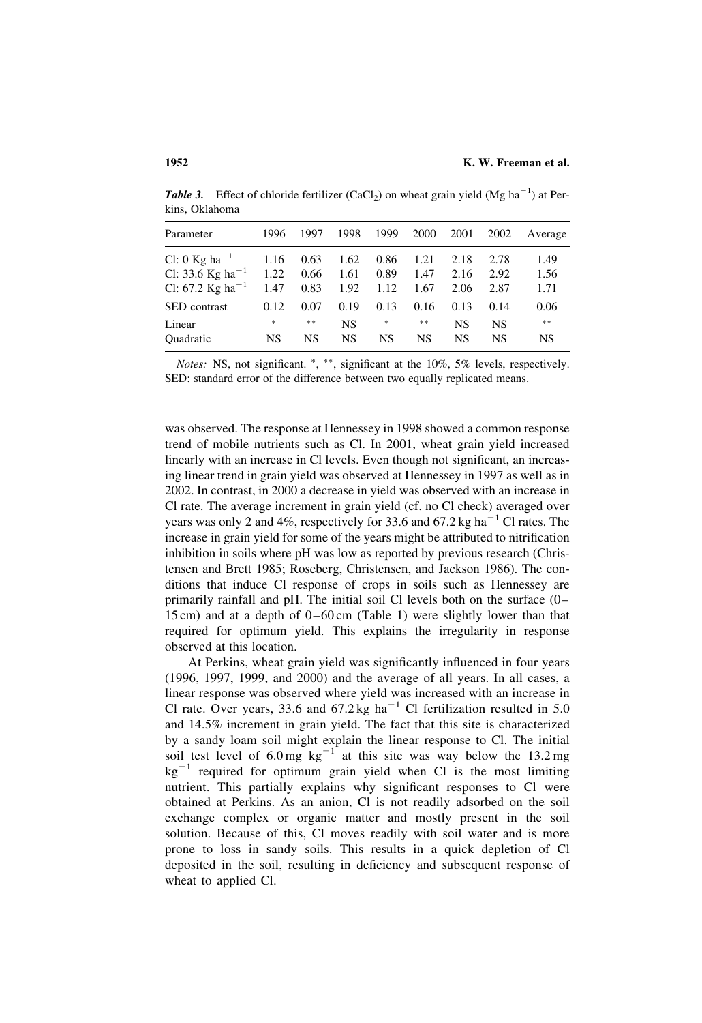**Table 3.** Effect of chloride fertilizer (CaCl<sub>2</sub>) on wheat grain yield (Mg ha<sup>-1</sup>) at Perkins, Oklahoma

| Parameter                    | 1996   | 1997 | 1998      | 1999 | 2000 | 2001      | 2002      | Average |
|------------------------------|--------|------|-----------|------|------|-----------|-----------|---------|
| Cl: 0 Kg ha <sup>-1</sup>    | 1.16   | 0.63 | 1.62      | 0.86 | 1.21 | 2.18      | 2.78      | 1.49    |
| Cl: 33.6 Kg ha <sup>-1</sup> | 1.22   | 0.66 | 1.61      | 0.89 | 1.47 | 2.16      | 2.92      | 1.56    |
| Cl: 67.2 Kg ha <sup>-1</sup> | 1.47   | 0.83 | 1.92      | 1.12 | 1.67 | 2.06      | 2.87      | 1.71    |
| <b>SED</b> contrast          | 0.12   | 0.07 | 0.19      | 0.13 | 0.16 | 0.13      | 0.14      | 0.06    |
| Linear                       | $\ast$ | **   | <b>NS</b> | *    | $**$ | <b>NS</b> | <b>NS</b> | $**$    |
| <b>Ouadratic</b>             | NS     | NS   | NS        | NS   | NS   | NS        | NS        | NS      |

Notes: NS, not significant.  $*, **$ , significant at the 10%, 5% levels, respectively. SED: standard error of the difference between two equally replicated means.

was observed. The response at Hennessey in 1998 showed a common response trend of mobile nutrients such as Cl. In 2001, wheat grain yield increased linearly with an increase in Cl levels. Even though not significant, an increasing linear trend in grain yield was observed at Hennessey in 1997 as well as in 2002. In contrast, in 2000 a decrease in yield was observed with an increase in Cl rate. The average increment in grain yield (cf. no Cl check) averaged over years was only 2 and 4%, respectively for 33.6 and 67.2 kg ha<sup> $-1$ </sup> Cl rates. The increase in grain yield for some of the years might be attributed to nitrification inhibition in soils where pH was low as reported by previous research (Christensen and Brett 1985; Roseberg, Christensen, and Jackson 1986). The conditions that induce Cl response of crops in soils such as Hennessey are primarily rainfall and pH. The initial soil Cl levels both on the surface (0 – 15 cm) and at a depth of  $0 - 60$  cm (Table 1) were slightly lower than that required for optimum yield. This explains the irregularity in response observed at this location.

At Perkins, wheat grain yield was significantly influenced in four years (1996, 1997, 1999, and 2000) and the average of all years. In all cases, a linear response was observed where yield was increased with an increase in Cl rate. Over years, 33.6 and  $67.2 \text{ kg}$  ha<sup>-1</sup> Cl fertilization resulted in 5.0 and 14.5% increment in grain yield. The fact that this site is characterized by a sandy loam soil might explain the linear response to Cl. The initial soil test level of 6.0 mg  $kg^{-1}$  at this site was way below the 13.2 mg  $kg^{-1}$  required for optimum grain yield when Cl is the most limiting nutrient. This partially explains why significant responses to Cl were obtained at Perkins. As an anion, Cl is not readily adsorbed on the soil exchange complex or organic matter and mostly present in the soil solution. Because of this, Cl moves readily with soil water and is more prone to loss in sandy soils. This results in a quick depletion of Cl deposited in the soil, resulting in deficiency and subsequent response of wheat to applied Cl.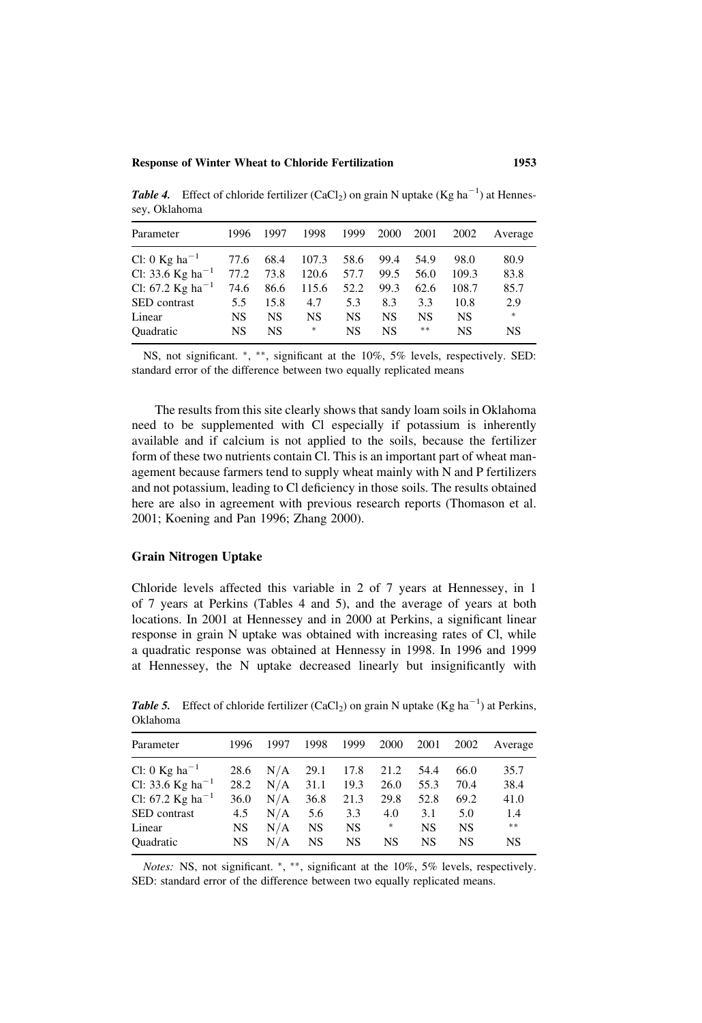**Table 4.** Effect of chloride fertilizer (CaCl<sub>2</sub>) on grain N uptake (Kg ha<sup>-1</sup>) at Hennessey, Oklahoma

| Parameter                              | 1996      | 1997 | 1998  | 1999 | 2000 | 2001 | 2002  | Average |
|----------------------------------------|-----------|------|-------|------|------|------|-------|---------|
| Cl: 0 Kg ha <sup><math>-1</math></sup> | 77.6      | 68.4 | 107.3 | 58.6 | 99.4 | 54.9 | 98.0  | 80.9    |
| Cl: 33.6 Kg ha <sup>-1</sup>           | 77.2      | 73.8 | 120.6 | 57.7 | 99.5 | 56.0 | 109.3 | 83.8    |
| Cl: 67.2 Kg ha <sup>-1</sup>           | 74.6      | 86.6 | 115.6 | 52.2 | 99.3 | 62.6 | 108.7 | 85.7    |
| <b>SED</b> contrast                    | 5.5       | 15.8 | 4.7   | 5.3  | 8.3  | 3.3  | 10.8  | 2.9     |
| Linear                                 | NS        | NS   | NS    | NS   | NS   | NS   | NS    | $\ast$  |
| <b>Ouadratic</b>                       | <b>NS</b> | NS   | *     | NS   | NS   | **   | NS    | NS      |

NS, not significant.  $*,$  \*\*, significant at the 10%, 5% levels, respectively. SED: standard error of the difference between two equally replicated means

The results from this site clearly shows that sandy loam soils in Oklahoma need to be supplemented with Cl especially if potassium is inherently available and if calcium is not applied to the soils, because the fertilizer form of these two nutrients contain Cl. This is an important part of wheat management because farmers tend to supply wheat mainly with N and P fertilizers and not potassium, leading to Cl deficiency in those soils. The results obtained here are also in agreement with previous research reports (Thomason et al. 2001; Koening and Pan 1996; Zhang 2000).

#### Grain Nitrogen Uptake

Chloride levels affected this variable in 2 of 7 years at Hennessey, in 1 of 7 years at Perkins (Tables 4 and 5), and the average of years at both locations. In 2001 at Hennessey and in 2000 at Perkins, a significant linear response in grain N uptake was obtained with increasing rates of Cl, while a quadratic response was obtained at Hennessy in 1998. In 1996 and 1999 at Hennessey, the N uptake decreased linearly but insignificantly with

| Parameter                    | 1996 | 1997 | 1998 | 1999      | 2000   | 2001      | 2002      | Average |
|------------------------------|------|------|------|-----------|--------|-----------|-----------|---------|
| Cl: 0 Kg ha <sup>-1</sup>    | 28.6 | N/A  | 29.1 | 17.8      | 21.2   | 54.4      | 66.0      | 35.7    |
| Cl: 33.6 Kg ha <sup>-1</sup> | 28.2 | N/A  | 31.1 | 19.3      | 26.0   | 55.3      | 70.4      | 38.4    |
| Cl: 67.2 Kg ha <sup>-1</sup> | 36.0 | N/A  | 36.8 | 21.3      | 29.8   | 52.8      | 69.2      | 41.0    |
| SED contrast                 | 4.5  | N/A  | 5.6  | 3.3       | 4.0    | 3.1       | 5.0       | 1.4     |
| Linear                       | NS   | N/A  | NS   | NS.       | $\ast$ | <b>NS</b> | <b>NS</b> | $**$    |
| <b>Ouadratic</b>             | NS   | N/A  | NS   | <b>NS</b> | NS     | NS        | NS        | NS      |
|                              |      |      |      |           |        |           |           |         |

**Table 5.** Effect of chloride fertilizer (CaCl<sub>2</sub>) on grain N uptake (Kg ha<sup>-1</sup>) at Perkins, Oklahoma

Notes: NS, not significant. \*, \*\*, significant at the 10%, 5% levels, respectively. SED: standard error of the difference between two equally replicated means.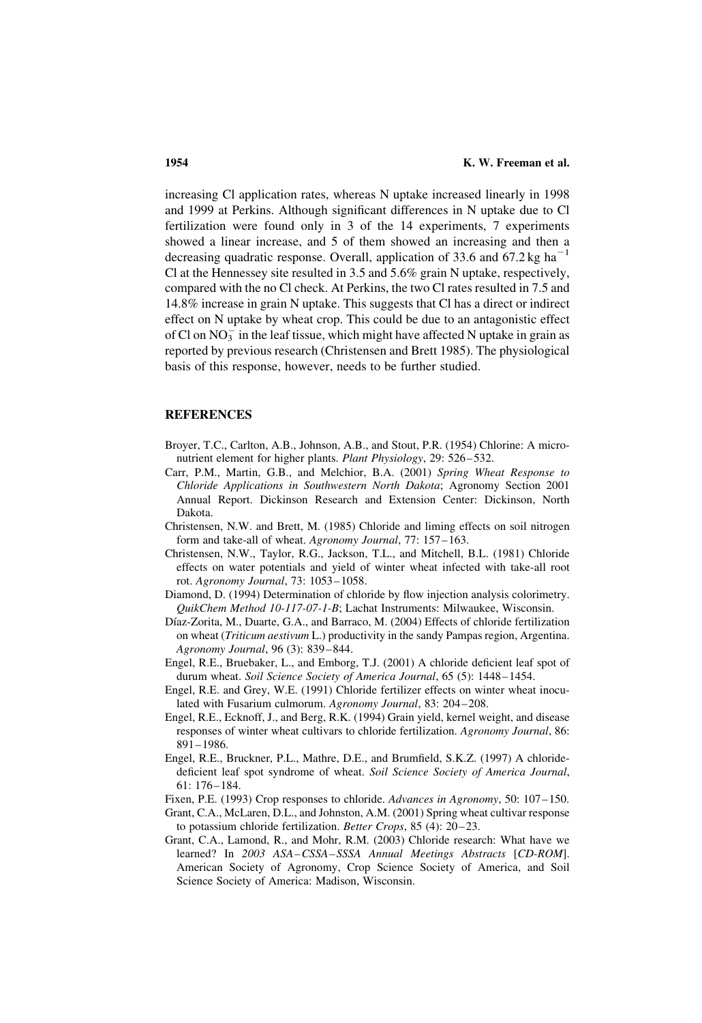increasing Cl application rates, whereas N uptake increased linearly in 1998 and 1999 at Perkins. Although significant differences in N uptake due to Cl fertilization were found only in 3 of the 14 experiments, 7 experiments showed a linear increase, and 5 of them showed an increasing and then a decreasing quadratic response. Overall, application of 33.6 and 67.2 kg ha<sup> $-1$ </sup> Cl at the Hennessey site resulted in 3.5 and 5.6% grain N uptake, respectively, compared with the no Cl check. At Perkins, the two Cl rates resulted in 7.5 and 14.8% increase in grain N uptake. This suggests that Cl has a direct or indirect effect on N uptake by wheat crop. This could be due to an antagonistic effect of Cl on  $NO_3^-$  in the leaf tissue, which might have affected N uptake in grain as reported by previous research (Christensen and Brett 1985). The physiological basis of this response, however, needs to be further studied.

## **REFERENCES**

- Broyer, T.C., Carlton, A.B., Johnson, A.B., and Stout, P.R. (1954) Chlorine: A micronutrient element for higher plants. Plant Physiology, 29: 526–532.
- Carr, P.M., Martin, G.B., and Melchior, B.A. (2001) Spring Wheat Response to Chloride Applications in Southwestern North Dakota; Agronomy Section 2001 Annual Report. Dickinson Research and Extension Center: Dickinson, North Dakota.
- Christensen, N.W. and Brett, M. (1985) Chloride and liming effects on soil nitrogen form and take-all of wheat. Agronomy Journal, 77: 157-163.
- Christensen, N.W., Taylor, R.G., Jackson, T.L., and Mitchell, B.L. (1981) Chloride effects on water potentials and yield of winter wheat infected with take-all root rot. Agronomy Journal, 73: 1053– 1058.
- Diamond, D. (1994) Determination of chloride by flow injection analysis colorimetry. QuikChem Method 10-117-07-1-B; Lachat Instruments: Milwaukee, Wisconsin.
- Díaz-Zorita, M., Duarte, G.A., and Barraco, M. (2004) Effects of chloride fertilization on wheat (Triticum aestivum L.) productivity in the sandy Pampas region, Argentina. Agronomy Journal, 96 (3): 839– 844.
- Engel, R.E., Bruebaker, L., and Emborg, T.J. (2001) A chloride deficient leaf spot of durum wheat. Soil Science Society of America Journal, 65 (5): 1448-1454.
- Engel, R.E. and Grey, W.E. (1991) Chloride fertilizer effects on winter wheat inoculated with Fusarium culmorum. Agronomy Journal, 83: 204–208.
- Engel, R.E., Ecknoff, J., and Berg, R.K. (1994) Grain yield, kernel weight, and disease responses of winter wheat cultivars to chloride fertilization. Agronomy Journal, 86: 891– 1986.
- Engel, R.E., Bruckner, P.L., Mathre, D.E., and Brumfield, S.K.Z. (1997) A chloridedeficient leaf spot syndrome of wheat. Soil Science Society of America Journal, 61: 176– 184.
- Fixen, P.E. (1993) Crop responses to chloride. Advances in Agronomy, 50: 107–150.
- Grant, C.A., McLaren, D.L., and Johnston, A.M. (2001) Spring wheat cultivar response to potassium chloride fertilization. Better Crops, 85 (4): 20-23.
- Grant, C.A., Lamond, R., and Mohr, R.M. (2003) Chloride research: What have we learned? In 2003 ASA-CSSA-SSSA Annual Meetings Abstracts [CD-ROM]. American Society of Agronomy, Crop Science Society of America, and Soil Science Society of America: Madison, Wisconsin.